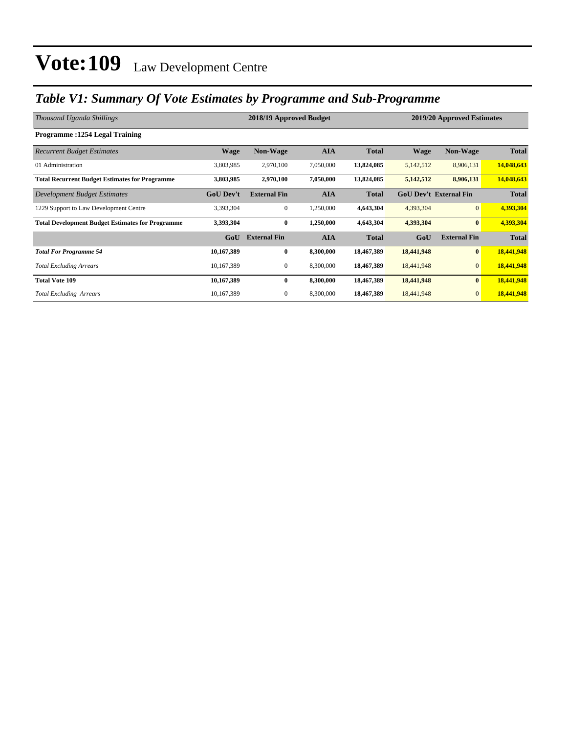### *Table V1: Summary Of Vote Estimates by Programme and Sub-Programme*

| Thousand Uganda Shillings                               |                  | 2019/20 Approved Estimates |            |              |                               |                     |              |
|---------------------------------------------------------|------------------|----------------------------|------------|--------------|-------------------------------|---------------------|--------------|
| Programme: 1254 Legal Training                          |                  |                            |            |              |                               |                     |              |
| <b>Recurrent Budget Estimates</b>                       | <b>Wage</b>      | Non-Wage                   | <b>AIA</b> | <b>Total</b> | <b>Wage</b>                   | <b>Non-Wage</b>     | <b>Total</b> |
| 01 Administration                                       | 3,803,985        | 2,970,100                  | 7,050,000  | 13,824,085   | 5,142,512                     | 8,906,131           | 14,048,643   |
| <b>Total Recurrent Budget Estimates for Programme</b>   | 3,803,985        | 2,970,100                  | 7,050,000  | 13,824,085   | 5,142,512                     | 8,906,131           | 14,048,643   |
| <b>Development Budget Estimates</b>                     | <b>GoU Dev't</b> | <b>External Fin</b>        | <b>AIA</b> | <b>Total</b> | <b>GoU Dev't External Fin</b> |                     | <b>Total</b> |
| 1229 Support to Law Development Centre                  | 3,393,304        | $\mathbf{0}$               | 1,250,000  | 4,643,304    | 4,393,304                     | $\overline{0}$      | 4,393,304    |
| <b>Total Development Budget Estimates for Programme</b> | 3,393,304        | $\bf{0}$                   | 1,250,000  | 4,643,304    | 4,393,304                     | $\bf{0}$            | 4,393,304    |
|                                                         | GoU              | <b>External Fin</b>        | <b>AIA</b> | <b>Total</b> | GoU                           | <b>External Fin</b> | <b>Total</b> |
| <b>Total For Programme 54</b>                           | 10,167,389       | $\bf{0}$                   | 8,300,000  | 18,467,389   | 18,441,948                    | $\bf{0}$            | 18,441,948   |
| <b>Total Excluding Arrears</b>                          | 10,167,389       | $\overline{0}$             | 8,300,000  | 18,467,389   | 18,441,948                    | $\mathbf{0}$        | 18,441,948   |
| <b>Total Vote 109</b>                                   | 10,167,389       | $\bf{0}$                   | 8,300,000  | 18,467,389   | 18,441,948                    | $\bf{0}$            | 18,441,948   |
| <b>Total Excluding Arrears</b>                          | 10,167,389       | $\mathbf{0}$               | 8,300,000  | 18,467,389   | 18,441,948                    | $\mathbf{0}$        | 18,441,948   |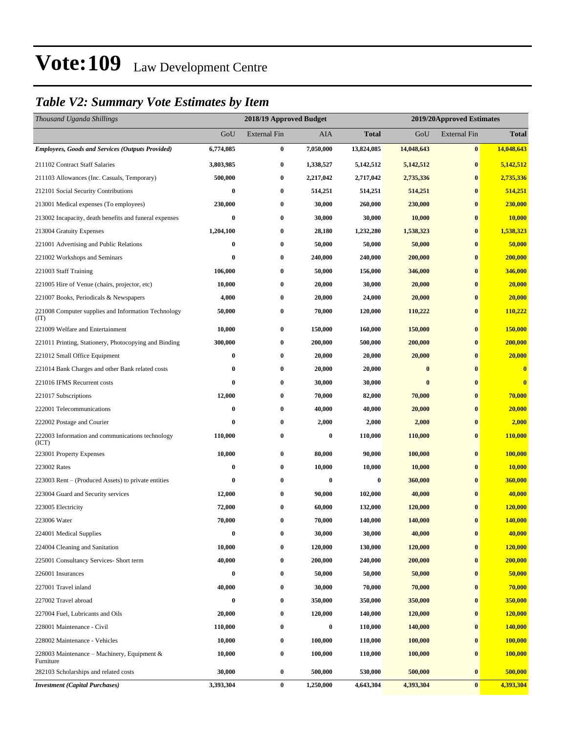### *Table V2: Summary Vote Estimates by Item*

| Thousand Uganda Shillings                                   |           | 2018/19 Approved Budget |           |              | 2019/20Approved Estimates |                     |                         |  |
|-------------------------------------------------------------|-----------|-------------------------|-----------|--------------|---------------------------|---------------------|-------------------------|--|
|                                                             | GoU       | <b>External Fin</b>     | AIA       | <b>Total</b> | GoU                       | <b>External Fin</b> | <b>Total</b>            |  |
| <b>Employees, Goods and Services (Outputs Provided)</b>     | 6,774,085 | $\bf{0}$                | 7,050,000 | 13,824,085   | 14,048,643                | $\bf{0}$            | 14,048,643              |  |
| 211102 Contract Staff Salaries                              | 3,803,985 | $\bf{0}$                | 1,338,527 | 5,142,512    | 5,142,512                 | $\bf{0}$            | 5,142,512               |  |
| 211103 Allowances (Inc. Casuals, Temporary)                 | 500,000   | $\bf{0}$                | 2,217,042 | 2,717,042    | 2,735,336                 | $\bf{0}$            | 2,735,336               |  |
| 212101 Social Security Contributions                        | 0         | $\bf{0}$                | 514,251   | 514,251      | 514,251                   | $\bf{0}$            | 514,251                 |  |
| 213001 Medical expenses (To employees)                      | 230,000   | $\bf{0}$                | 30,000    | 260,000      | 230,000                   | $\bf{0}$            | 230,000                 |  |
| 213002 Incapacity, death benefits and funeral expenses      | $\bf{0}$  | $\bf{0}$                | 30,000    | 30,000       | 10,000                    | $\bf{0}$            | 10,000                  |  |
| 213004 Gratuity Expenses                                    | 1,204,100 | $\bf{0}$                | 28,180    | 1,232,280    | 1,538,323                 | $\bf{0}$            | 1,538,323               |  |
| 221001 Advertising and Public Relations                     | 0         | $\bf{0}$                | 50,000    | 50,000       | 50,000                    | $\bf{0}$            | 50,000                  |  |
| 221002 Workshops and Seminars                               | 0         | $\bf{0}$                | 240,000   | 240,000      | 200,000                   | $\bf{0}$            | 200,000                 |  |
| 221003 Staff Training                                       | 106,000   | $\bf{0}$                | 50,000    | 156,000      | 346,000                   | $\bf{0}$            | 346,000                 |  |
| 221005 Hire of Venue (chairs, projector, etc)               | 10,000    | $\bf{0}$                | 20,000    | 30,000       | 20,000                    | $\bf{0}$            | 20,000                  |  |
| 221007 Books, Periodicals & Newspapers                      | 4,000     | $\bf{0}$                | 20,000    | 24,000       | 20,000                    | $\bf{0}$            | 20,000                  |  |
| 221008 Computer supplies and Information Technology<br>(TT) | 50,000    | $\bf{0}$                | 70,000    | 120,000      | 110,222                   | $\bf{0}$            | 110,222                 |  |
| 221009 Welfare and Entertainment                            | 10,000    | $\bf{0}$                | 150,000   | 160,000      | 150,000                   | $\bf{0}$            | 150,000                 |  |
| 221011 Printing, Stationery, Photocopying and Binding       | 300,000   | $\bf{0}$                | 200,000   | 500,000      | 200,000                   | $\bf{0}$            | 200,000                 |  |
| 221012 Small Office Equipment                               | 0         | $\bf{0}$                | 20,000    | 20,000       | 20,000                    | $\bf{0}$            | 20,000                  |  |
| 221014 Bank Charges and other Bank related costs            | 0         | $\bf{0}$                | 20,000    | 20,000       | $\bf{0}$                  | $\bf{0}$            | $\bf{0}$                |  |
| 221016 IFMS Recurrent costs                                 | $\bf{0}$  | $\bf{0}$                | 30,000    | 30,000       | $\bf{0}$                  | $\bf{0}$            | $\overline{\mathbf{0}}$ |  |
| 221017 Subscriptions                                        | 12,000    | $\bf{0}$                | 70,000    | 82,000       | 70,000                    | $\bf{0}$            | 70,000                  |  |
| 222001 Telecommunications                                   | 0         | $\bf{0}$                | 40,000    | 40,000       | 20,000                    | $\bf{0}$            | 20,000                  |  |
| 222002 Postage and Courier                                  | $\bf{0}$  | $\bf{0}$                | 2,000     | 2,000        | 2,000                     | $\bf{0}$            | 2,000                   |  |
| 222003 Information and communications technology<br>(ICT)   | 110,000   | $\bf{0}$                | $\bf{0}$  | 110,000      | 110,000                   | $\bf{0}$            | 110,000                 |  |
| 223001 Property Expenses                                    | 10,000    | $\bf{0}$                | 80,000    | 90,000       | 100,000                   | $\bf{0}$            | 100,000                 |  |
| 223002 Rates                                                | 0         | $\bf{0}$                | 10,000    | 10,000       | 10,000                    | $\bf{0}$            | 10,000                  |  |
| 223003 Rent – (Produced Assets) to private entities         | 0         | $\bf{0}$                | 0         | $\bf{0}$     | 360,000                   | $\bf{0}$            | 360,000                 |  |
| 223004 Guard and Security services                          | 12,000    | $\bf{0}$                | 90,000    | 102,000      | 40,000                    | $\bf{0}$            | 40,000                  |  |
| 223005 Electricity                                          | 72,000    | $\bf{0}$                | 60,000    | 132,000      | 120,000                   | $\bf{0}$            | <b>120,000</b>          |  |
| 223006 Water                                                | 70,000    | $\bf{0}$                | 70,000    | 140,000      | 140,000                   | $\bf{0}$            | 140,000                 |  |
| 224001 Medical Supplies                                     | 0         | $\bf{0}$                | 30,000    | 30,000       | 40,000                    | $\bf{0}$            | 40,000                  |  |
| 224004 Cleaning and Sanitation                              | 10,000    | $\bf{0}$                | 120,000   | 130,000      | 120,000                   | $\bf{0}$            | 120,000                 |  |
| 225001 Consultancy Services- Short term                     | 40,000    | $\bf{0}$                | 200,000   | 240,000      | 200,000                   | $\bf{0}$            | 200,000                 |  |
| 226001 Insurances                                           | 0         | $\bf{0}$                | 50,000    | 50,000       | 50,000                    | $\bf{0}$            | 50,000                  |  |
| 227001 Travel inland                                        | 40,000    | $\bf{0}$                | 30,000    | 70,000       | 70,000                    | $\bf{0}$            | 70,000                  |  |
| 227002 Travel abroad                                        | 0         | $\bf{0}$                | 350,000   | 350,000      | 350,000                   | $\bf{0}$            | 350,000                 |  |
| 227004 Fuel, Lubricants and Oils                            | 20,000    | $\bf{0}$                | 120,000   | 140,000      | 120,000                   | $\bf{0}$            | 120,000                 |  |
| 228001 Maintenance - Civil                                  | 110,000   | $\bf{0}$                | $\bf{0}$  | 110,000      | 140,000                   | $\bf{0}$            | 140,000                 |  |
| 228002 Maintenance - Vehicles                               | 10,000    | $\bf{0}$                | 100,000   | 110,000      | 100,000                   | $\bf{0}$            | 100,000                 |  |
| 228003 Maintenance – Machinery, Equipment $\&$<br>Furniture | 10,000    | $\boldsymbol{0}$        | 100,000   | 110,000      | 100,000                   | $\bf{0}$            | 100,000                 |  |
| 282103 Scholarships and related costs                       | 30,000    | $\boldsymbol{0}$        | 500,000   | 530,000      | 500,000                   | $\bf{0}$            | 500,000                 |  |
| <b>Investment</b> (Capital Purchases)                       | 3,393,304 | $\pmb{0}$               | 1,250,000 | 4,643,304    | 4,393,304                 | $\bf{0}$            | 4,393,304               |  |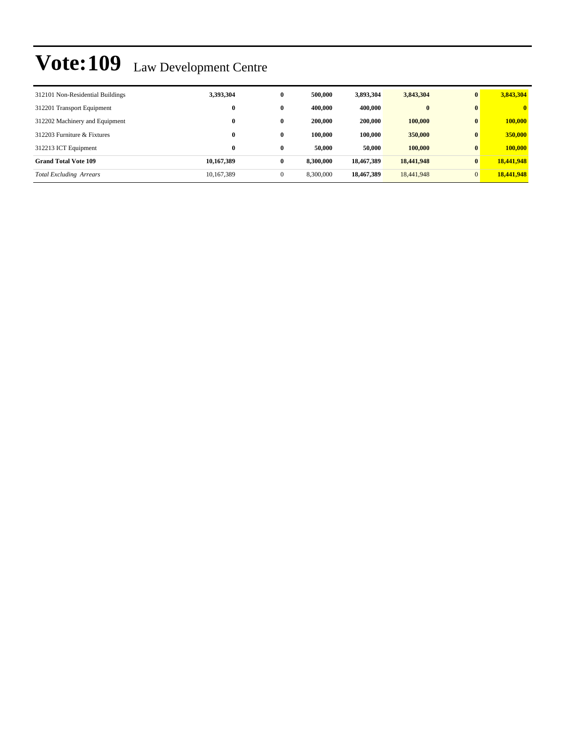| 312101 Non-Residential Buildings | 3,393,304  | $\bf{0}$     | 500,000   | 3,893,304  | 3,843,304  | $\bf{0}$       | 3,843,304    |
|----------------------------------|------------|--------------|-----------|------------|------------|----------------|--------------|
| 312201 Transport Equipment       | $\bf{0}$   | $\bf{0}$     | 400,000   | 400,000    | $\bf{0}$   | $\bf{0}$       | $\mathbf{0}$ |
| 312202 Machinery and Equipment   | $\bf{0}$   | $\bf{0}$     | 200,000   | 200,000    | 100,000    | $\mathbf{0}$   | 100,000      |
| 312203 Furniture & Fixtures      | $\bf{0}$   | $\bf{0}$     | 100.000   | 100.000    | 350,000    | $\mathbf{0}$   | 350,000      |
| 312213 ICT Equipment             | $\bf{0}$   | $\bf{0}$     | 50,000    | 50,000     | 100,000    | $\mathbf{0}$   | 100,000      |
| <b>Grand Total Vote 109</b>      | 10,167,389 | $\bf{0}$     | 8,300,000 | 18,467,389 | 18,441,948 | $\mathbf{0}$   | 18,441,948   |
| <b>Total Excluding Arrears</b>   | 10,167,389 | $\mathbf{0}$ | 8,300,000 | 18,467,389 | 18,441,948 | $\overline{0}$ | 18,441,948   |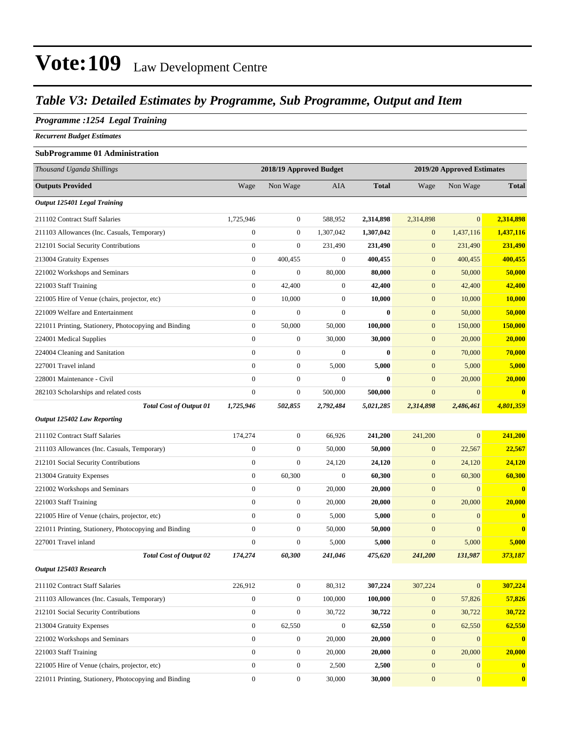### *Table V3: Detailed Estimates by Programme, Sub Programme, Output and Item*

#### *Programme :1254 Legal Training*

*Recurrent Budget Estimates*

#### **SubProgramme 01 Administration**

| Thousand Uganda Shillings                             |                  | 2018/19 Approved Budget |                  |              |                  |                  |                            |  |
|-------------------------------------------------------|------------------|-------------------------|------------------|--------------|------------------|------------------|----------------------------|--|
|                                                       |                  |                         |                  |              |                  |                  | 2019/20 Approved Estimates |  |
| <b>Outputs Provided</b>                               | Wage             | Non Wage                | <b>AIA</b>       | <b>Total</b> | Wage             | Non Wage         | <b>Total</b>               |  |
| Output 125401 Legal Training                          |                  |                         |                  |              |                  |                  |                            |  |
| 211102 Contract Staff Salaries                        | 1,725,946        | $\boldsymbol{0}$        | 588,952          | 2,314,898    | 2,314,898        | $\overline{0}$   | 2,314,898                  |  |
| 211103 Allowances (Inc. Casuals, Temporary)           | $\boldsymbol{0}$ | $\boldsymbol{0}$        | 1,307,042        | 1,307,042    | $\mathbf{0}$     | 1,437,116        | 1,437,116                  |  |
| 212101 Social Security Contributions                  | $\boldsymbol{0}$ | $\boldsymbol{0}$        | 231,490          | 231,490      | $\mathbf{0}$     | 231,490          | 231,490                    |  |
| 213004 Gratuity Expenses                              | $\mathbf{0}$     | 400,455                 | $\boldsymbol{0}$ | 400,455      | $\boldsymbol{0}$ | 400,455          | 400,455                    |  |
| 221002 Workshops and Seminars                         | $\boldsymbol{0}$ | $\boldsymbol{0}$        | 80,000           | 80,000       | $\boldsymbol{0}$ | 50,000           | 50,000                     |  |
| 221003 Staff Training                                 | $\boldsymbol{0}$ | 42,400                  | $\mathbf{0}$     | 42,400       | $\mathbf{0}$     | 42,400           | 42,400                     |  |
| 221005 Hire of Venue (chairs, projector, etc)         | $\mathbf{0}$     | 10,000                  | $\boldsymbol{0}$ | 10,000       | $\mathbf{0}$     | 10,000           | <b>10,000</b>              |  |
| 221009 Welfare and Entertainment                      | $\boldsymbol{0}$ | $\boldsymbol{0}$        | $\boldsymbol{0}$ | $\bf{0}$     | $\mathbf{0}$     | 50,000           | 50,000                     |  |
| 221011 Printing, Stationery, Photocopying and Binding | $\boldsymbol{0}$ | 50,000                  | 50,000           | 100,000      | $\boldsymbol{0}$ | 150,000          | <b>150,000</b>             |  |
| 224001 Medical Supplies                               | $\boldsymbol{0}$ | $\boldsymbol{0}$        | 30,000           | 30,000       | $\mathbf{0}$     | 20,000           | 20,000                     |  |
| 224004 Cleaning and Sanitation                        | $\mathbf{0}$     | $\boldsymbol{0}$        | $\mathbf{0}$     | $\bf{0}$     | $\mathbf{0}$     | 70,000           | 70,000                     |  |
| 227001 Travel inland                                  | $\mathbf{0}$     | $\boldsymbol{0}$        | 5,000            | 5,000        | $\mathbf{0}$     | 5,000            | 5,000                      |  |
| 228001 Maintenance - Civil                            | $\mathbf{0}$     | $\boldsymbol{0}$        | $\boldsymbol{0}$ | $\bf{0}$     | $\mathbf{0}$     | 20,000           | 20,000                     |  |
| 282103 Scholarships and related costs                 | $\boldsymbol{0}$ | $\boldsymbol{0}$        | 500,000          | 500,000      | $\boldsymbol{0}$ | $\mathbf{0}$     | $\bf{0}$                   |  |
| <b>Total Cost of Output 01</b>                        | 1,725,946        | 502,855                 | 2,792,484        | 5,021,285    | 2,314,898        | 2,486,461        | 4,801,359                  |  |
| <b>Output 125402 Law Reporting</b>                    |                  |                         |                  |              |                  |                  |                            |  |
| 211102 Contract Staff Salaries                        | 174,274          | $\boldsymbol{0}$        | 66,926           | 241,200      | 241,200          | $\mathbf{0}$     | 241,200                    |  |
| 211103 Allowances (Inc. Casuals, Temporary)           | $\mathbf{0}$     | $\boldsymbol{0}$        | 50,000           | 50,000       | $\boldsymbol{0}$ | 22,567           | 22,567                     |  |
| 212101 Social Security Contributions                  | $\mathbf{0}$     | $\boldsymbol{0}$        | 24,120           | 24,120       | $\boldsymbol{0}$ | 24,120           | 24,120                     |  |
| 213004 Gratuity Expenses                              | $\boldsymbol{0}$ | 60,300                  | $\mathbf{0}$     | 60,300       | $\mathbf{0}$     | 60,300           | 60,300                     |  |
| 221002 Workshops and Seminars                         | $\boldsymbol{0}$ | $\boldsymbol{0}$        | 20,000           | 20,000       | $\boldsymbol{0}$ | $\mathbf{0}$     | $\mathbf{0}$               |  |
| 221003 Staff Training                                 | $\mathbf{0}$     | $\boldsymbol{0}$        | 20,000           | 20,000       | $\mathbf{0}$     | 20,000           | 20,000                     |  |
| 221005 Hire of Venue (chairs, projector, etc)         | $\mathbf{0}$     | $\boldsymbol{0}$        | 5,000            | 5,000        | $\mathbf{0}$     | $\mathbf{0}$     | $\mathbf{0}$               |  |
| 221011 Printing, Stationery, Photocopying and Binding | $\boldsymbol{0}$ | $\boldsymbol{0}$        | 50,000           | 50,000       | $\mathbf{0}$     | $\mathbf{0}$     | $\bf{0}$                   |  |
| 227001 Travel inland                                  | $\mathbf{0}$     | $\boldsymbol{0}$        | 5,000            | 5,000        | $\boldsymbol{0}$ | 5,000            | 5,000                      |  |
| <b>Total Cost of Output 02</b>                        | 174,274          | 60,300                  | 241,046          | 475,620      | 241,200          | 131,987          | 373,187                    |  |
| Output 125403 Research                                |                  |                         |                  |              |                  |                  |                            |  |
| 211102 Contract Staff Salaries                        | 226,912          | $\boldsymbol{0}$        | 80,312           | 307,224      | 307,224          | $\mathbf{0}$     | 307,224                    |  |
| 211103 Allowances (Inc. Casuals, Temporary)           | $\boldsymbol{0}$ | $\boldsymbol{0}$        | 100,000          | 100,000      | $\mathbf{0}$     | 57,826           | 57,826                     |  |
| 212101 Social Security Contributions                  | $\boldsymbol{0}$ | $\boldsymbol{0}$        | 30,722           | 30,722       | $\boldsymbol{0}$ | 30,722           | 30,722                     |  |
| 213004 Gratuity Expenses                              | $\boldsymbol{0}$ | 62,550                  | $\mathbf{0}$     | 62,550       | $\boldsymbol{0}$ | 62,550           | 62,550                     |  |
| 221002 Workshops and Seminars                         | $\boldsymbol{0}$ | $\boldsymbol{0}$        | 20,000           | 20,000       | $\boldsymbol{0}$ | $\mathbf{0}$     | $\mathbf{0}$               |  |
| 221003 Staff Training                                 | $\boldsymbol{0}$ | $\boldsymbol{0}$        | 20,000           | 20,000       | $\boldsymbol{0}$ | 20,000           | 20,000                     |  |
| 221005 Hire of Venue (chairs, projector, etc)         | $\boldsymbol{0}$ | $\boldsymbol{0}$        | 2,500            | 2,500        | $\boldsymbol{0}$ | $\mathbf{0}$     | $\mathbf{0}$               |  |
| 221011 Printing, Stationery, Photocopying and Binding | $\boldsymbol{0}$ | $\boldsymbol{0}$        | 30,000           | 30,000       | $\boldsymbol{0}$ | $\boldsymbol{0}$ | $\overline{\mathbf{0}}$    |  |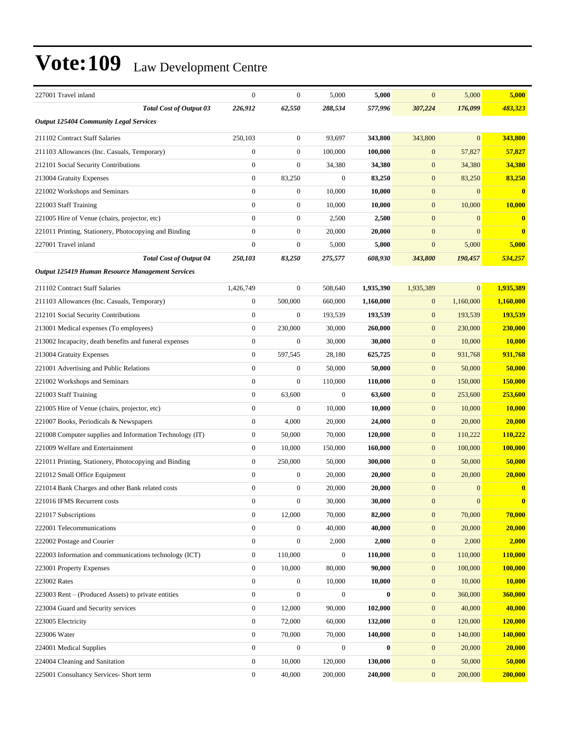| 227001 Travel inland                                     | $\boldsymbol{0}$ | $\boldsymbol{0}$ | 5,000            | 5,000     | $\mathbf{0}$     | 5,000          | 5,000        |
|----------------------------------------------------------|------------------|------------------|------------------|-----------|------------------|----------------|--------------|
| <b>Total Cost of Output 03</b>                           | 226,912          | 62,550           | 288,534          | 577,996   | 307,224          | 176,099        | 483,323      |
| <b>Output 125404 Community Legal Services</b>            |                  |                  |                  |           |                  |                |              |
| 211102 Contract Staff Salaries                           | 250,103          | $\boldsymbol{0}$ | 93,697           | 343,800   | 343,800          | $\overline{0}$ | 343,800      |
| 211103 Allowances (Inc. Casuals, Temporary)              | $\boldsymbol{0}$ | $\boldsymbol{0}$ | 100,000          | 100,000   | $\mathbf{0}$     | 57,827         | 57,827       |
| 212101 Social Security Contributions                     | $\boldsymbol{0}$ | $\boldsymbol{0}$ | 34,380           | 34,380    | $\boldsymbol{0}$ | 34,380         | 34,380       |
| 213004 Gratuity Expenses                                 | $\boldsymbol{0}$ | 83,250           | $\boldsymbol{0}$ | 83,250    | $\mathbf{0}$     | 83,250         | 83,250       |
| 221002 Workshops and Seminars                            | $\boldsymbol{0}$ | $\boldsymbol{0}$ | 10,000           | 10,000    | $\mathbf{0}$     | $\overline{0}$ | $\mathbf{0}$ |
| 221003 Staff Training                                    | $\overline{0}$   | $\boldsymbol{0}$ | 10,000           | 10,000    | $\mathbf{0}$     | 10,000         | 10,000       |
| 221005 Hire of Venue (chairs, projector, etc)            | $\boldsymbol{0}$ | $\boldsymbol{0}$ | 2,500            | 2,500     | $\mathbf{0}$     | $\mathbf{0}$   | $\bf{0}$     |
| 221011 Printing, Stationery, Photocopying and Binding    | $\mathbf{0}$     | $\boldsymbol{0}$ | 20,000           | 20,000    | $\mathbf{0}$     | $\overline{0}$ | $\bf{0}$     |
| 227001 Travel inland                                     | $\overline{0}$   | $\boldsymbol{0}$ | 5,000            | 5,000     | $\mathbf{0}$     | 5,000          | 5,000        |
| <b>Total Cost of Output 04</b>                           | 250,103          | 83,250           | 275,577          | 608,930   | 343,800          | 190,457        | 534,257      |
| Output 125419 Human Resource Management Services         |                  |                  |                  |           |                  |                |              |
| 211102 Contract Staff Salaries                           | 1,426,749        | $\boldsymbol{0}$ | 508,640          | 1,935,390 | 1,935,389        | $\overline{0}$ | 1,935,389    |
| 211103 Allowances (Inc. Casuals, Temporary)              | $\mathbf{0}$     | 500,000          | 660,000          | 1,160,000 | $\mathbf{0}$     | 1,160,000      | 1,160,000    |
| 212101 Social Security Contributions                     | $\mathbf{0}$     | $\boldsymbol{0}$ | 193,539          | 193,539   | $\mathbf{0}$     | 193,539        | 193,539      |
| 213001 Medical expenses (To employees)                   | $\mathbf{0}$     | 230,000          | 30,000           | 260,000   | $\mathbf{0}$     | 230,000        | 230,000      |
| 213002 Incapacity, death benefits and funeral expenses   | $\mathbf{0}$     | $\boldsymbol{0}$ | 30,000           | 30,000    | $\boldsymbol{0}$ | 10,000         | 10,000       |
| 213004 Gratuity Expenses                                 | $\boldsymbol{0}$ | 597,545          | 28,180           | 625,725   | $\boldsymbol{0}$ | 931,768        | 931,768      |
| 221001 Advertising and Public Relations                  | $\overline{0}$   | $\boldsymbol{0}$ | 50,000           | 50,000    | $\mathbf{0}$     | 50,000         | 50,000       |
| 221002 Workshops and Seminars                            | $\mathbf{0}$     | $\overline{0}$   | 110,000          | 110,000   | $\mathbf{0}$     | 150,000        | 150,000      |
| 221003 Staff Training                                    | $\boldsymbol{0}$ | 63,600           | $\boldsymbol{0}$ | 63,600    | $\boldsymbol{0}$ | 253,600        | 253,600      |
| 221005 Hire of Venue (chairs, projector, etc)            | $\boldsymbol{0}$ | $\boldsymbol{0}$ | 10,000           | 10,000    | $\mathbf{0}$     | 10,000         | 10,000       |
| 221007 Books, Periodicals & Newspapers                   | $\mathbf{0}$     | 4,000            | 20,000           | 24,000    | $\boldsymbol{0}$ | 20,000         | 20,000       |
| 221008 Computer supplies and Information Technology (IT) | $\mathbf{0}$     | 50,000           | 70,000           | 120,000   | $\mathbf{0}$     | 110,222        | 110,222      |
| 221009 Welfare and Entertainment                         | 0                | 10,000           | 150,000          | 160,000   | $\mathbf{0}$     | 100,000        | 100,000      |
| 221011 Printing, Stationery, Photocopying and Binding    | $\mathbf{0}$     | 250,000          | 50,000           | 300,000   | $\mathbf{0}$     | 50,000         | 50,000       |
| 221012 Small Office Equipment                            | $\mathbf{0}$     | $\boldsymbol{0}$ | 20,000           | 20,000    | $\mathbf{0}$     | 20,000         | 20,000       |
| 221014 Bank Charges and other Bank related costs         | $\boldsymbol{0}$ | $\boldsymbol{0}$ | 20,000           | 20,000    | $\mathbf{0}$     | $\overline{0}$ | $\bf{0}$     |
| 221016 IFMS Recurrent costs                              | 0                | $\boldsymbol{0}$ | 30,000           | 30,000    | $\boldsymbol{0}$ | $\mathbf{0}$   | $\mathbf{0}$ |
| 221017 Subscriptions                                     | 0                | 12,000           | 70,000           | 82,000    | $\mathbf{0}$     | 70,000         | 70,000       |
| 222001 Telecommunications                                | $\boldsymbol{0}$ | $\boldsymbol{0}$ | 40,000           | 40,000    | $\boldsymbol{0}$ | 20,000         | 20,000       |
| 222002 Postage and Courier                               | $\boldsymbol{0}$ | $\boldsymbol{0}$ | 2,000            | 2,000     | $\boldsymbol{0}$ | 2,000          | 2,000        |
| 222003 Information and communications technology (ICT)   | $\boldsymbol{0}$ | 110,000          | $\mathbf{0}$     | 110,000   | $\boldsymbol{0}$ | 110,000        | 110,000      |
| 223001 Property Expenses                                 | $\boldsymbol{0}$ | 10,000           | 80,000           | 90,000    | $\mathbf{0}$     | 100,000        | 100,000      |
| 223002 Rates                                             | $\mathbf{0}$     | $\boldsymbol{0}$ | 10,000           | 10,000    | $\mathbf{0}$     | 10,000         | 10,000       |
| 223003 Rent – (Produced Assets) to private entities      | $\boldsymbol{0}$ | $\boldsymbol{0}$ | $\boldsymbol{0}$ | $\bf{0}$  | $\boldsymbol{0}$ | 360,000        | 360,000      |
| 223004 Guard and Security services                       | $\boldsymbol{0}$ | 12,000           | 90,000           | 102,000   | $\boldsymbol{0}$ | 40,000         | 40,000       |
| 223005 Electricity                                       | $\boldsymbol{0}$ | 72,000           | 60,000           | 132,000   | $\boldsymbol{0}$ | 120,000        | 120,000      |
| 223006 Water                                             | $\boldsymbol{0}$ | 70,000           | 70,000           | 140,000   | $\mathbf{0}$     | 140,000        | 140,000      |
| 224001 Medical Supplies                                  | $\boldsymbol{0}$ | $\boldsymbol{0}$ | $\boldsymbol{0}$ | $\bf{0}$  | $\mathbf{0}$     | 20,000         | 20,000       |
| 224004 Cleaning and Sanitation                           | $\boldsymbol{0}$ | 10,000           | 120,000          | 130,000   | $\boldsymbol{0}$ | 50,000         | 50,000       |
| 225001 Consultancy Services- Short term                  | $\boldsymbol{0}$ | 40,000           | 200,000          | 240,000   | $\boldsymbol{0}$ | 200,000        | 200,000      |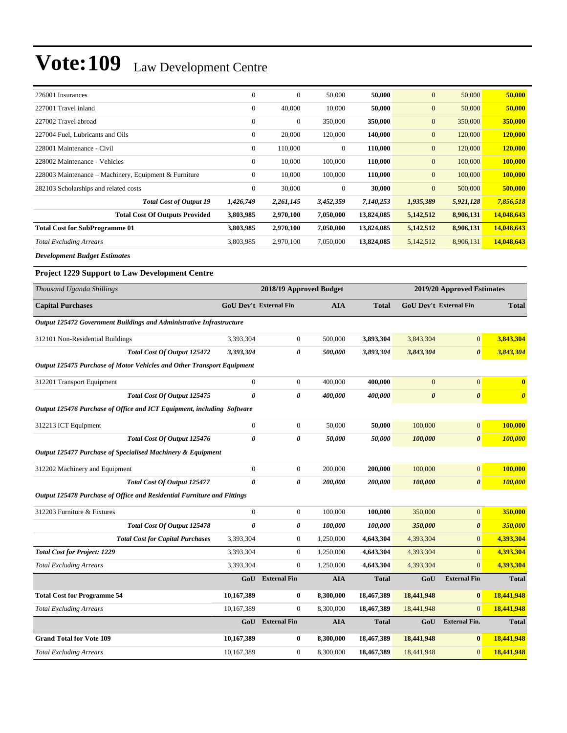| 226001 Insurances                                     | $\mathbf{0}$     | $\mathbf{0}$   | 50,000         | 50,000     | $\mathbf{0}$ | 50,000    | 50,000     |
|-------------------------------------------------------|------------------|----------------|----------------|------------|--------------|-----------|------------|
| 227001 Travel inland                                  | $\boldsymbol{0}$ | 40,000         | 10,000         | 50,000     | $\mathbf{0}$ | 50,000    | 50,000     |
| 227002 Travel abroad                                  | $\mathbf{0}$     | $\overline{0}$ | 350,000        | 350,000    | $\mathbf{0}$ | 350,000   | 350,000    |
| 227004 Fuel, Lubricants and Oils                      | $\mathbf{0}$     | 20,000         | 120,000        | 140,000    | $\mathbf{0}$ | 120,000   | 120,000    |
| 228001 Maintenance - Civil                            | $\mathbf{0}$     | 110,000        | $\overline{0}$ | 110,000    | $\mathbf{0}$ | 120,000   | 120,000    |
| 228002 Maintenance - Vehicles                         | $\overline{0}$   | 10,000         | 100,000        | 110,000    | $\mathbf{0}$ | 100,000   | 100,000    |
| 228003 Maintenance – Machinery, Equipment & Furniture | $\overline{0}$   | 10,000         | 100,000        | 110,000    | $\mathbf{0}$ | 100,000   | 100,000    |
| 282103 Scholarships and related costs                 | $\mathbf{0}$     | 30,000         | $\theta$       | 30,000     | $\mathbf{0}$ | 500,000   | 500,000    |
| <b>Total Cost of Output 19</b>                        | 1,426,749        | 2,261,145      | 3,452,359      | 7,140,253  | 1,935,389    | 5,921,128 | 7,856,518  |
| <b>Total Cost Of Outputs Provided</b>                 | 3,803,985        | 2,970,100      | 7,050,000      | 13,824,085 | 5,142,512    | 8,906,131 | 14,048,643 |
| <b>Total Cost for SubProgramme 01</b>                 | 3,803,985        | 2,970,100      | 7,050,000      | 13,824,085 | 5,142,512    | 8,906,131 | 14,048,643 |
| <b>Total Excluding Arrears</b>                        | 3,803,985        | 2,970,100      | 7,050,000      | 13,824,085 | 5,142,512    | 8,906,131 | 14,048,643 |
|                                                       |                  |                |                |            |              |           |            |

*Development Budget Estimates*

#### **Project 1229 Support to Law Development Centre**

| Thousand Uganda Shillings                                               | 2018/19 Approved Budget       |                     |            |              |                       | 2019/20 Approved Estimates    |                       |
|-------------------------------------------------------------------------|-------------------------------|---------------------|------------|--------------|-----------------------|-------------------------------|-----------------------|
| <b>Capital Purchases</b>                                                | <b>GoU Dev't External Fin</b> |                     | <b>AIA</b> | <b>Total</b> |                       | <b>GoU Dev't External Fin</b> | <b>Total</b>          |
| Output 125472 Government Buildings and Administrative Infrastructure    |                               |                     |            |              |                       |                               |                       |
| 312101 Non-Residential Buildings                                        | 3,393,304                     | 0                   | 500,000    | 3,893,304    | 3,843,304             | $\vert 0 \vert$               | 3,843,304             |
| Total Cost Of Output 125472                                             | 3,393,304                     | 0                   | 500,000    | 3,893,304    | 3,843,304             | $\boldsymbol{\theta}$         | 3,843,304             |
| Output 125475 Purchase of Motor Vehicles and Other Transport Equipment  |                               |                     |            |              |                       |                               |                       |
| 312201 Transport Equipment                                              | $\mathbf{0}$                  | $\boldsymbol{0}$    | 400,000    | 400,000      | $\overline{0}$        | $\mathbf{0}$                  | $\mathbf{0}$          |
| <b>Total Cost Of Output 125475</b>                                      | $\boldsymbol{\theta}$         | 0                   | 400,000    | 400,000      | $\boldsymbol{\theta}$ | $\boldsymbol{\theta}$         | $\boldsymbol{\theta}$ |
| Output 125476 Purchase of Office and ICT Equipment, including Software  |                               |                     |            |              |                       |                               |                       |
| 312213 ICT Equipment                                                    | $\mathbf{0}$                  | $\boldsymbol{0}$    | 50,000     | 50,000       | 100,000               | $\mathbf{0}$                  | 100,000               |
| Total Cost Of Output 125476                                             | $\boldsymbol{\theta}$         | 0                   | 50,000     | 50,000       | 100,000               | $\boldsymbol{\theta}$         | 100,000               |
| Output 125477 Purchase of Specialised Machinery & Equipment             |                               |                     |            |              |                       |                               |                       |
| 312202 Machinery and Equipment                                          | $\boldsymbol{0}$              | $\boldsymbol{0}$    | 200,000    | 200,000      | 100,000               | $\mathbf{0}$                  | 100,000               |
| Total Cost Of Output 125477                                             | $\theta$                      | 0                   | 200,000    | 200,000      | 100,000               | $\boldsymbol{\theta}$         | 100,000               |
| Output 125478 Purchase of Office and Residential Furniture and Fittings |                               |                     |            |              |                       |                               |                       |
| 312203 Furniture & Fixtures                                             | $\overline{0}$                | $\boldsymbol{0}$    | 100,000    | 100,000      | 350,000               | $\overline{0}$                | 350,000               |
| Total Cost Of Output 125478                                             | $\boldsymbol{\theta}$         | 0                   | 100,000    | 100,000      | 350,000               | $\boldsymbol{\theta}$         | 350,000               |
| <b>Total Cost for Capital Purchases</b>                                 | 3,393,304                     | $\boldsymbol{0}$    | 1,250,000  | 4,643,304    | 4,393,304             | $\mathbf{0}$                  | 4,393,304             |
| <b>Total Cost for Project: 1229</b>                                     | 3,393,304                     | $\boldsymbol{0}$    | 1,250,000  | 4,643,304    | 4,393,304             | $\overline{0}$                | 4,393,304             |
| <b>Total Excluding Arrears</b>                                          | 3,393,304                     | $\overline{0}$      | 1,250,000  | 4,643,304    | 4,393,304             | $\Omega$                      | 4,393,304             |
|                                                                         | GoU                           | <b>External Fin</b> | <b>AIA</b> | <b>Total</b> | GoU                   | <b>External Fin</b>           | <b>Total</b>          |
| <b>Total Cost for Programme 54</b>                                      | 10,167,389                    | $\bf{0}$            | 8,300,000  | 18,467,389   | 18,441,948            | $\bf{0}$                      | 18,441,948            |
| <b>Total Excluding Arrears</b>                                          | 10,167,389                    | $\overline{0}$      | 8,300,000  | 18,467,389   | 18,441,948            | $\Omega$                      | 18,441,948            |
|                                                                         | GoU                           | <b>External Fin</b> | <b>AIA</b> | <b>Total</b> | GoU                   | <b>External Fin.</b>          | <b>Total</b>          |
| <b>Grand Total for Vote 109</b>                                         | 10,167,389                    | $\bf{0}$            | 8,300,000  | 18,467,389   | 18,441,948            | $\bf{0}$                      | 18,441,948            |
| <b>Total Excluding Arrears</b>                                          | 10,167,389                    | $\mathbf{0}$        | 8,300,000  | 18,467,389   | 18,441,948            | $\mathbf{0}$                  | 18,441,948            |